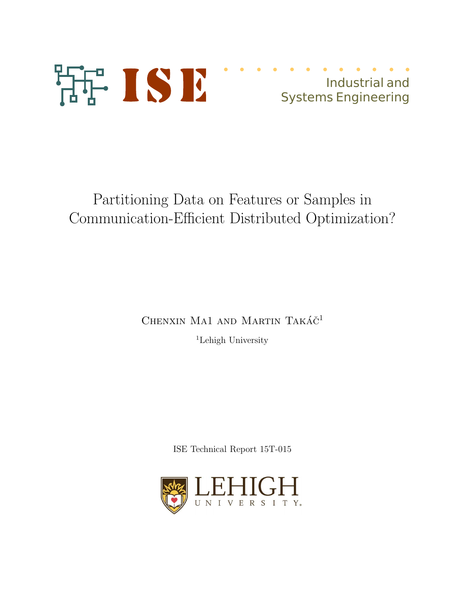

# Industrial and **Systems Engineering**

# Partitioning Data on Features or Samples in Communication-Efficient Distributed Optimization?

CHENXIN MA1 AND MARTIN TAKÁČ<sup>1</sup>

<sup>1</sup>Lehigh University

ISE Technical Report  $15T-015$ 

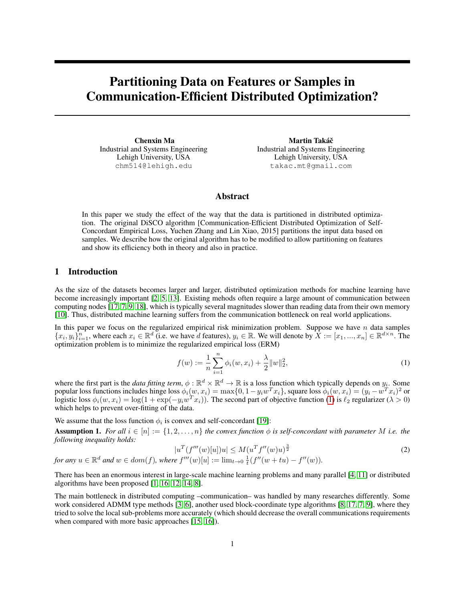## Partitioning Data on Features or Samples in Communication-Efficient Distributed Optimization?

Chenxin Ma Industrial and Systems Engineering Lehigh University, USA chm514@lehigh.edu

Martin Takáč Industrial and Systems Engineering Lehigh University, USA takac.mt@gmail.com

### Abstract

In this paper we study the effect of the way that the data is partitioned in distributed optimization. The original DiSCO algorithm [Communication-Efficient Distributed Optimization of Self-Concordant Empirical Loss, Yuchen Zhang and Lin Xiao, 2015] partitions the input data based on samples. We describe how the original algorithm has to be modified to allow partitioning on features and show its efficiency both in theory and also in practice.

#### 1 Introduction

As the size of the datasets becomes larger and larger, distributed optimization methods for machine learning have become increasingly important [2, 5, 13]. Existing mehods often require a large amount of communication between computing nodes [17, 7, 9, 18], which is typically several magnitudes slower than reading data from their own memory [10]. Thus, distributed machine learning suffers from the communication bottleneck on real world applications.

In this paper we focus on the regularized empirical risk minimization problem. Suppose we have  $n$  data samples  ${x_i, y_i}_{i=1}^n$ , where each  $x_i \in \mathbb{R}^d$  (i.e. we have d features),  $y_i \in \mathbb{R}$ . We will denote by  $X := [x_1, ..., x_n] \in \mathbb{R}^{d \times n}$ . The optimization problem is to minimize the regularized empirical loss (ERM)

$$
f(w) := \frac{1}{n} \sum_{i=1}^{n} \phi_i(w, x_i) + \frac{\lambda}{2} ||w||_2^2,
$$
\n(1)

where the first part is the *data fitting term*,  $\phi : \mathbb{R}^d \times \mathbb{R}^d \to \mathbb{R}$  is a loss function which typically depends on  $y_i$ . Some popular loss functions includes hinge loss  $\phi_i(w, x_i) = \max\{0, 1 - y_iw^Tx_i\}$ , square loss  $\phi_i(w, x_i) = (y_i - w^Tx_i)^2$  or logistic loss  $\phi_i(w, x_i) = \log(1 + \exp(-y_i w^T x_i))$ . The second part of objective function (1) is  $\ell_2$  regularizer ( $\lambda > 0$ ) which helps to prevent over-fitting of the data.

We assume that the loss function  $\phi_i$  is convex and self-concordant [19]:

**Assumption 1.** For all  $i \in [n] := \{1, 2, ..., n\}$  the convex function  $\phi$  is self-concordant with parameter M *i.e.* the *following inequality holds:*

$$
|u^T(f'''(w)[u])u| \le M(u^Tf''(w)u)^{\frac{3}{2}} \tag{2}
$$

for any 
$$
u \in \mathbb{R}^d
$$
 and  $w \in dom(f)$ , where  $f'''(w)[u] := \lim_{t \to 0} \frac{1}{t}(f''(w+tu) - f''(w))$ .

There has been an enormous interest in large-scale machine learning problems and many parallel [4, 11] or distributed algorithms have been proposed [1, 16, 12, 14, 8].

The main bottleneck in distributed computing –communication– was handled by many researches differently. Some work considered ADMM type methods [3, 6], another used block-coordinate type algorithms [8, 17, 7, 9], where they tried to solve the local sub-problems more accurately (which should decrease the overall communications requirements when compared with more basic approaches [15, 16]).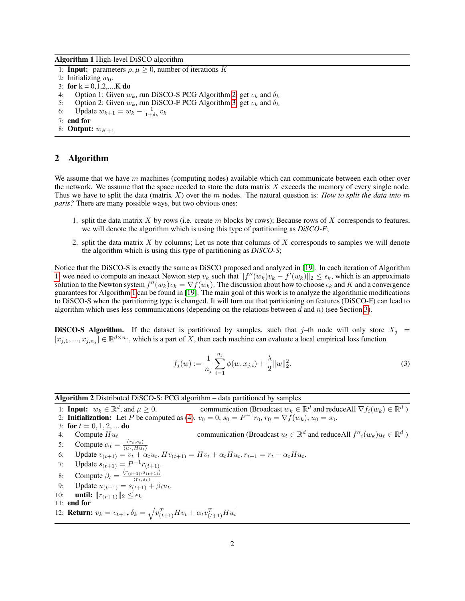Algorithm 1 High-level DiSCO algorithm

- 1: **Input:** parameters  $\rho, \mu \geq 0$ , number of iterations K
- 2: Initializing  $w_0$ .
- 3: for  $k = 0,1,2,...,K$  do
- 4: Option 1: Given  $w_k$ , run DiSCO-S PCG Algorithm 2, get  $v_k$  and  $\delta_k$
- 5: Option 2: Given  $w_k$ , run DiSCO-F PCG Algorithm 3, get  $v_k$  and  $\delta_k$
- 6: Update  $w_{k+1} = w_k \frac{1}{1 + \delta_k} v_k$
- 7: end for
- 8: Output:  $w_{K+1}$

### 2 Algorithm

We assume that we have  $m$  machines (computing nodes) available which can communicate between each other over the network. We assume that the space needed to store the data matrix  $X$  exceeds the memory of every single node. Thus we have to split the data (matrix X) over the m nodes. The natural question is: *How to split the data into* m *parts?* There are many possible ways, but two obvious ones:

- 1. split the data matrix X by rows (i.e. create m blocks by rows); Because rows of X corresponds to features, we will denote the algorithm which is using this type of partitioning as *DiSCO-F*;
- 2. split the data matrix  $X$  by columns; Let us note that columns of  $X$  corresponds to samples we will denote the algorithm which is using this type of partitioning as *DiSCO-S*;

Notice that the DiSCO-S is exactly the same as DiSCO proposed and analyzed in [19]. In each iteration of Algorithm 1, wee need to compute an inexact Newton step  $v_k$  such that  $||f''(w_k)v_k - f'(w_k)||_2 \leq \epsilon_k$ , which is an approximate solution to the Newton system  $f''(w_k)v_k = \nabla \hat{f}(w_k)$ . The discussion about how to choose  $\epsilon_k$  and K and a convergence guarantees for Algorithm 1 can be found in [19]. The main goal of this work is to analyze the algorithmic modifications to DiSCO-S when the partitioning type is changed. It will turn out that partitioning on features (DiSCO-F) can lead to algorithm which uses less communications (depending on the relations between d and n) (see Section 3).

**DiSCO-S Algorithm.** If the dataset is partitioned by samples, such that j–th node will only store  $X_j$  =  $[x_{j,1},...,x_{j,n_j}] \in \mathbb{R}^{d \times n_j}$ , which is a part of X, then each machine can evaluate a local empirical loss function

$$
f_j(w) := \frac{1}{n_j} \sum_{i=1}^{n_j} \phi(w, x_{j,i}) + \frac{\lambda}{2} ||w||_2^2.
$$
 (3)

Algorithm 2 Distributed DiSCO-S: PCG algorithm – data partitioned by samples

1: **Input:**  $w_k \in \mathbb{R}^d$ , and  $\mu \ge 0$ . communication (Broadcast  $w_k \in \mathbb{R}^d$  and reduceAll  $\nabla f_i(w_k) \in \mathbb{R}^d$ ) 2: **Initialization:** Let P be computed as (4).  $v_0 = 0$ ,  $s_0 = P^{-1}r_0$ ,  $r_0 = \nabla f(w_k)$ ,  $u_0 = s_0$ . 3: for  $t = 0, 1, 2, ...$  do 4: Compute  $Hu_t$  communication (Broadcast  $u_t \in \mathbb{R}^d$  and reduceAll  $f''_i(w_k)u_t \in \mathbb{R}^d$ ) 5: Compute  $\alpha_t = \frac{\langle r_t, s_t \rangle}{\langle u_t, H u_t \rangle}$  $\langle u_t, H u_t \rangle$ 6: Update  $v_{(t+1)} = v_t + \alpha_t u_t$ ,  $H v_{(t+1)} = H v_t + \alpha_t H u_t$ ,  $r_{t+1} = r_t - \alpha_t H u_t$ . 7: Update  $s_{(t+1)} = P^{-1}r_{(t+1)}$ . 8: Compute  $\beta_t = \frac{\langle r_{(t+1)}, s_{(t+1)} \rangle}{\langle r_{t}, s_t \rangle}$ 9: Update  $u_{(t+1)} = s_{(t+1)} + \beta_t u_t$ . 10: **until:**  $||r_{(r+1)}||_2 \leq \epsilon_k$ 11: end for 12: **Return:**  $v_k = v_{t+1}, \delta_k = \sqrt{v_{(t+1)}^T H v_t + \alpha_t v_{(t+1)}^T H u_t}$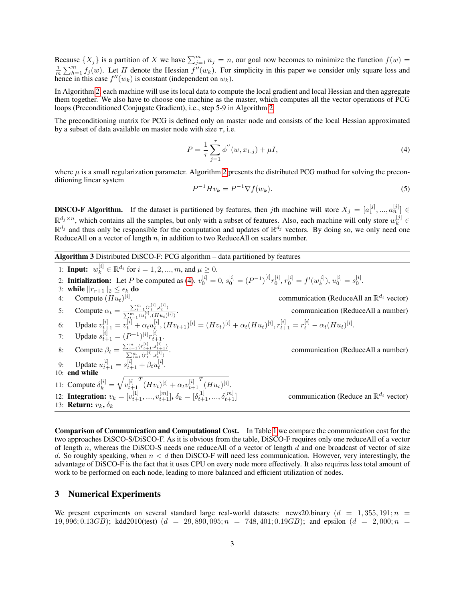Because  $\{X_j\}$  is a partition of X we have  $\sum_{j=1}^m n_j = n$ , our goal now becomes to minimize the function  $f(w) =$  $\frac{1}{m}\sum_{h=1}^{m} f_j(w)$ . Let H denote the Hessian  $f''(w_k)$ . For simplicity in this paper we consider only square loss and hence in this case  $f''(w_k)$  is constant (independent on  $w_k$ ).

In Algorithm 2, each machine will use its local data to compute the local gradient and local Hessian and then aggregate them together. We also have to choose one machine as the master, which computes all the vector operations of PCG loops (Preconditioned Conjugate Gradient), i.e., step 5-9 in Algorithm 2.

The preconditioning matrix for PCG is defined only on master node and consists of the local Hessian approximated by a subset of data available on master node with size  $\tau$ , i.e.

$$
P = \frac{1}{\tau} \sum_{j=1}^{\tau} \phi''(w, x_{1,j}) + \mu I,
$$
\n(4)

where  $\mu$  is a small regularization parameter. Algorithm 2 presents the distributed PCG mathod for solving the preconditioning linear system

$$
P^{-1}Hv_k = P^{-1}\nabla f(w_k). \tag{5}
$$

**DISCO-F Algorithm.** If the dataset is partitioned by features, then jth machine will store  $X_j = [a_1^{[j]},...,a_n^{[j]}] \in$  $\mathbb{R}^{d_j \times n}$ , which contains all the samples, but only with a subset of features. Also, each machine will only store  $w_k^{[j]} \in$  $\mathbb{R}^{d_j}$  and thus only be responsible for the computation and updates of  $\mathbb{R}^{d_j}$  vectors. By doing so, we only need one ReduceAll on a vector of length  $n$ , in addition to two ReduceAll on scalars number.

Algorithm 3 Distributed DiSCO-F: PCG algorithm – data partitioned by features

1: **Input:** 
$$
w_k^{[i]} \in \mathbb{R}^{d_i}
$$
 for  $i = 1, 2, ..., m$ , and  $\mu \ge 0$ .  
\n2: **Initialization:** Let  $P$  be computed as (4).  $v_0^{[i]} = 0$ ,  $s_0^{[i]} = (P^{-1})^{[i]} r_0^{[i]}$ ,  $r_0^{[i]} = f'(w_k^{[i]})$ ,  $u_0^{[i]} = s_0^{[i]}$ .  
\n3: **while**  $||r_{r+1}||_2 \le \epsilon_k$  **do**  
\n4: Compute  $(Hu_t)^{[i]}$ .  
\n5: Compute  $\alpha_t = \sum_{\substack{m=1 \\ m \neq i}}^{\infty} (r_t^{[i]}, s_t^{[i]})$ .  
\n6: Update  $v_{t+1}^{[i]} = v_t^{[i]} + \alpha_t u_t^{[i]}$ ,  $(Hv_{t+1})^{[i]} = (Hv_t)^{[i]} + \alpha_t (Hu_t)^{[i]}$ ,  $r_{t+1}^{[i]} = r_t^{[i]} - \alpha_t (Hu_t)^{[i]}$ .  
\n7: Update  $s_{t+1}^{[i]} = (P^{-1})^{[i]} r_{t+1}^{[i]}$ .  
\n8: Compute  $\beta_t = \frac{\sum_{i=1}^m (r_{t+1}^{[i]}, s_{t+1}^{[i]})}{\sum_{i=1}^m (r_t^{[i]}, s_i^{[i]})}$ .  
\n9: Update  $u_t^{[i]} = s_{t+1}^{[i]} + \beta_t u_t^{[i]}$ .  
\n10: **end while**  
\n11: Compute  $\delta_k^{[i]} = \sqrt{v_{t+1}^{[i]}}, ..., v_{t+1}^{[m]}$ ,  $\delta_k = [\delta_{t+1}^{[1]}, ..., \delta_{t+1}^{[m]}$ ]  
\n12: **Integration:**  $v_k = [v_{t+1}^{[1]}, ..., v_{t+1}^{[m]}]$ ,  $\delta_k = [\delta_{t+1}^{[1]}, ..., \delta_{t+1}^{[m]}$ 

Comparison of Communication and Computational Cost. In Table 1 we compare the communication cost for the two approaches DiSCO-S/DiSCO-F. As it is obvious from the table, DiSCO-F requires only one reduceAll of a vector of length  $n$ , whereas the DiSCO-S needs one reduceAll of a vector of length  $d$  and one broadcast of vector of size d. So roughly speaking, when  $n < d$  then DiSCO-F will need less communication. However, very interestingly, the advantage of DiSCO-F is the fact that it uses CPU on every node more effectively. It also requires less total amount of work to be performed on each node, leading to more balanced and efficient utilization of nodes.

#### 3 Numerical Experiments

We present experiments on several standard large real-world datasets: news20.binary  $(d = 1, 355, 191; n =$ 19, 996; 0.13GB); kdd2010(test) (d = 29, 890, 095; n = 748, 401; 0.19GB); and epsilon (d = 2, 000; n =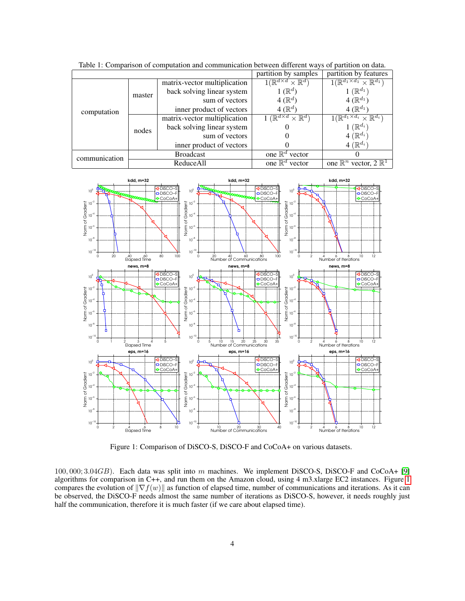|               |                  |                              | partition by samples                                        | partition by features                                  |
|---------------|------------------|------------------------------|-------------------------------------------------------------|--------------------------------------------------------|
| computation   | master           | matrix-vector multiplication | $\overline{1(\mathbb{R}^{d \times d} \times \mathbb{R}^d)}$ | $1(\mathbb{R}^{d_1\times d_1}\times \mathbb{R}^{d_1})$ |
|               |                  | back solving linear system   | $1\,(\mathbb{R}^d)$                                         | $'\mathbb{R}^{d_1}$                                    |
|               |                  | sum of vectors               | $4(\mathbb{R}^d)$                                           | $4(\mathbb{R}^{d_1})$                                  |
|               |                  | inner product of vectors     | 4 ( $\mathbb{R}^d$ )                                        | $4(\mathbb{R}^{d_1})$                                  |
|               | nodes            | matrix-vector multiplication | $\times \mathbb{R}^{d}$<br>$'\mathbb{R}^{d\times d}$ .      | $1(\mathbb{R}^{d_1\times d_i}\times \mathbb{R}^{d_i})$ |
|               |                  | back solving linear system   |                                                             | $\mathbb{R}^{d_i}$                                     |
|               |                  | sum of vectors               |                                                             | 4 ( $\mathbb{R}^{d_i}$                                 |
|               |                  | inner product of vectors     |                                                             | 4 ( $\mathbb{R}^{d_i}$ )                               |
| communication | <b>Broadcast</b> |                              | one $\mathbb{R}^d$ vector                                   |                                                        |
|               | ReduceAll        |                              | one $\mathbb{R}^d$ vector                                   | one $\mathbb{R}^n$ vector, $2 \mathbb{R}^1$            |

Table 1: Comparison of computation and communication between different ways of partition on data.



Figure 1: Comparison of DiSCO-S, DiSCO-F and CoCoA+ on various datasets.

100, 000; 3.04GB). Each data was split into m machines. We implement DiSCO-S, DiSCO-F and CoCoA+ [9] algorithms for comparison in C++, and run them on the Amazon cloud, using 4 m3.xlarge EC2 instances. Figure 1 compares the evolution of  $\|\nabla f(w)\|$  as function of elapsed time, number of communications and iterations. As it can be observed, the DiSCO-F needs almost the same number of iterations as DiSCO-S, however, it needs roughly just half the communication, therefore it is much faster (if we care about elapsed time).